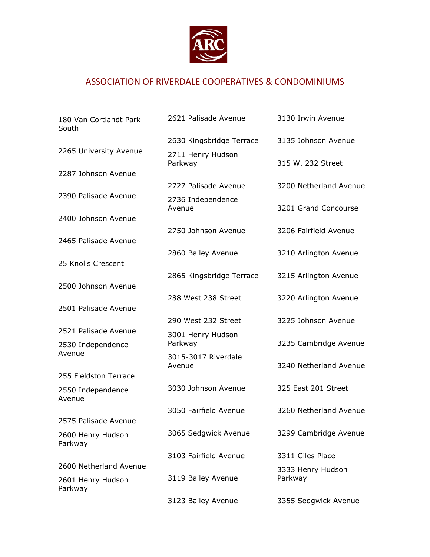

## ASSOCIATION OF RIVERDALE COOPERATIVES & CONDOMINIUMS

| 180 Van Cortlandt Park<br>South | 2621 Palisade Avenue          | 3130 Irwin Avenue      |
|---------------------------------|-------------------------------|------------------------|
|                                 | 2630 Kingsbridge Terrace      | 3135 Johnson Avenue    |
| 2265 University Avenue          | 2711 Henry Hudson<br>Parkway  | 315 W. 232 Street      |
| 2287 Johnson Avenue             |                               |                        |
|                                 | 2727 Palisade Avenue          | 3200 Netherland Avenue |
| 2390 Palisade Avenue            | 2736 Independence<br>Avenue   | 3201 Grand Concourse   |
| 2400 Johnson Avenue             |                               |                        |
| 2465 Palisade Avenue            | 2750 Johnson Avenue           | 3206 Fairfield Avenue  |
| 25 Knolls Crescent              | 2860 Bailey Avenue            | 3210 Arlington Avenue  |
| 2500 Johnson Avenue             | 2865 Kingsbridge Terrace      | 3215 Arlington Avenue  |
| 2501 Palisade Avenue            | 288 West 238 Street           | 3220 Arlington Avenue  |
|                                 | 290 West 232 Street           | 3225 Johnson Avenue    |
| 2521 Palisade Avenue            | 3001 Henry Hudson             |                        |
| 2530 Independence<br>Avenue     | Parkway                       | 3235 Cambridge Avenue  |
|                                 | 3015-3017 Riverdale<br>Avenue | 3240 Netherland Avenue |
| 255 Fieldston Terrace           |                               |                        |
| 2550 Independence<br>Avenue     | 3030 Johnson Avenue           | 325 East 201 Street    |
|                                 | 3050 Fairfield Avenue         | 3260 Netherland Avenue |
| 2575 Palisade Avenue            |                               |                        |
| 2600 Henry Hudson<br>Parkway    | 3065 Sedgwick Avenue          | 3299 Cambridge Avenue  |
|                                 | 3103 Fairfield Avenue         | 3311 Giles Place       |
| 2600 Netherland Avenue          |                               | 3333 Henry Hudson      |
| 2601 Henry Hudson<br>Parkway    | 3119 Bailey Avenue            | Parkway                |
|                                 | 3123 Bailey Avenue            | 3355 Sedgwick Avenue   |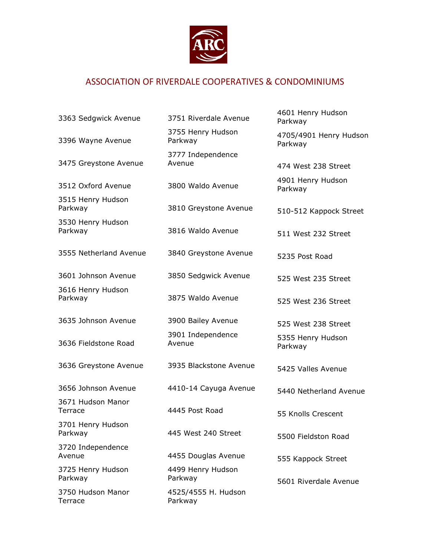

## ASSOCIATION OF RIVERDALE COOPERATIVES & CONDOMINIUMS

| 3363 Sedgwick Avenue         | 3751 Riverdale Avenue          | 4601 Henry Hudson<br>Parkway      |
|------------------------------|--------------------------------|-----------------------------------|
| 3396 Wayne Avenue            | 3755 Henry Hudson<br>Parkway   | 4705/4901 Henry Hudson<br>Parkway |
|                              | 3777 Independence<br>Avenue    |                                   |
| 3475 Greystone Avenue        |                                | 474 West 238 Street               |
| 3512 Oxford Avenue           | 3800 Waldo Avenue              | 4901 Henry Hudson<br>Parkway      |
| 3515 Henry Hudson<br>Parkway | 3810 Greystone Avenue          | 510-512 Kappock Street            |
| 3530 Henry Hudson<br>Parkway | 3816 Waldo Avenue              | 511 West 232 Street               |
| 3555 Netherland Avenue       | 3840 Greystone Avenue          | 5235 Post Road                    |
| 3601 Johnson Avenue          | 3850 Sedgwick Avenue           | 525 West 235 Street               |
| 3616 Henry Hudson<br>Parkway | 3875 Waldo Avenue              | 525 West 236 Street               |
| 3635 Johnson Avenue          | 3900 Bailey Avenue             | 525 West 238 Street               |
| 3636 Fieldstone Road         | 3901 Independence<br>Avenue    | 5355 Henry Hudson<br>Parkway      |
| 3636 Greystone Avenue        | 3935 Blackstone Avenue         | 5425 Valles Avenue                |
| 3656 Johnson Avenue          | 4410-14 Cayuga Avenue          | 5440 Netherland Avenue            |
| 3671 Hudson Manor<br>Terrace | 4445 Post Road                 | 55 Knolls Crescent                |
| 3701 Henry Hudson<br>Parkway | 445 West 240 Street            | 5500 Fieldston Road               |
| 3720 Independence<br>Avenue  | 4455 Douglas Avenue            | 555 Kappock Street                |
| 3725 Henry Hudson<br>Parkway | 4499 Henry Hudson<br>Parkway   | 5601 Riverdale Avenue             |
| 3750 Hudson Manor<br>Terrace | 4525/4555 H. Hudson<br>Parkway |                                   |